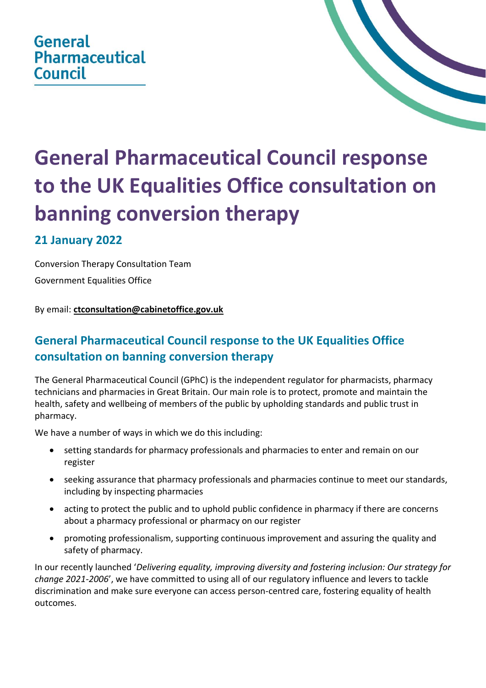## **General Pharmaceutical Council**



# **General Pharmaceutical Council response to the UK Equalities Office consultation on banning conversion therapy**

### **21 January 2022**

Conversion Therapy Consultation Team Government Equalities Office

By email: **[ctconsultation@cabinetoffice.gov.uk](mailto:ctconsultation@cabinetoffice.gov.uk)**

## **General Pharmaceutical Council response to the UK Equalities Office consultation on banning conversion therapy**

The General Pharmaceutical Council (GPhC) is the independent regulator for pharmacists, pharmacy technicians and pharmacies in Great Britain. Our main role is to protect, promote and maintain the health, safety and wellbeing of members of the public by upholding standards and public trust in pharmacy.

We have a number of ways in which we do this including:

- setting standards for pharmacy professionals and pharmacies to enter and remain on our register
- seeking assurance that pharmacy professionals and pharmacies continue to meet our standards, including by inspecting pharmacies
- acting to protect the public and to uphold public confidence in pharmacy if there are concerns about a pharmacy professional or pharmacy on our register
- promoting professionalism, supporting continuous improvement and assuring the quality and safety of pharmacy.

In our recently launched '*Delivering equality, improving diversity and fostering inclusion: Our strategy for change 2021-2006*', we have committed to using all of our regulatory influence and levers to tackle discrimination and make sure everyone can access person-centred care, fostering equality of health outcomes.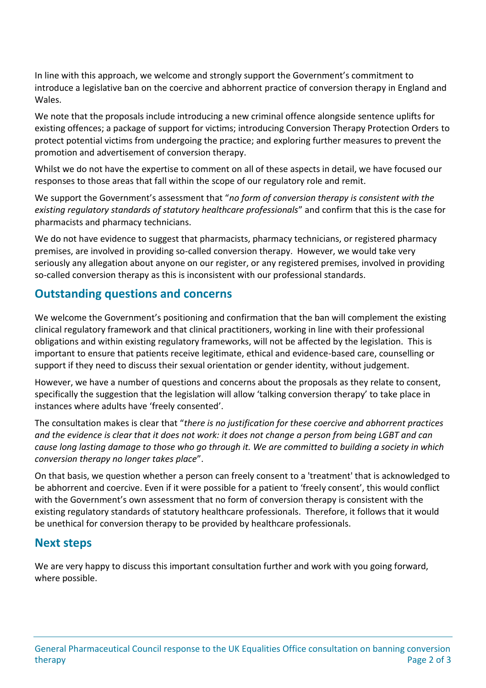In line with this approach, we welcome and strongly support the Government's commitment to introduce a legislative ban on the coercive and abhorrent practice of conversion therapy in England and Wales.

We note that the proposals include introducing a new criminal offence alongside sentence uplifts for existing offences; a package of support for victims; introducing Conversion Therapy Protection Orders to protect potential victims from undergoing the practice; and exploring further measures to prevent the promotion and advertisement of conversion therapy.

Whilst we do not have the expertise to comment on all of these aspects in detail, we have focused our responses to those areas that fall within the scope of our regulatory role and remit.

We support the Government's assessment that "*no form of conversion therapy is consistent with the existing regulatory standards of statutory healthcare professionals*" and confirm that this is the case for pharmacists and pharmacy technicians.

We do not have evidence to suggest that pharmacists, pharmacy technicians, or registered pharmacy premises, are involved in providing so-called conversion therapy. However, we would take very seriously any allegation about anyone on our register, or any registered premises, involved in providing so-called conversion therapy as this is inconsistent with our professional standards.

#### **Outstanding questions and concerns**

We welcome the Government's positioning and confirmation that the ban will complement the existing clinical regulatory framework and that clinical practitioners, working in line with their professional obligations and within existing regulatory frameworks, will not be affected by the legislation. This is important to ensure that patients receive legitimate, ethical and evidence-based care, counselling or support if they need to discuss their sexual orientation or gender identity, without judgement.

However, we have a number of questions and concerns about the proposals as they relate to consent, specifically the suggestion that the legislation will allow 'talking conversion therapy' to take place in instances where adults have 'freely consented'.

The consultation makes is clear that "*there is no justification for these coercive and abhorrent practices and the evidence is clear that it does not work: it does not change a person from being LGBT and can cause long lasting damage to those who go through it. We are committed to building a society in which conversion therapy no longer takes place*".

On that basis, we question whether a person can freely consent to a 'treatment' that is acknowledged to be abhorrent and coercive. Even if it were possible for a patient to 'freely consent', this would conflict with the Government's own assessment that no form of conversion therapy is consistent with the existing regulatory standards of statutory healthcare professionals. Therefore, it follows that it would be unethical for conversion therapy to be provided by healthcare professionals.

#### **Next steps**

We are very happy to discuss this important consultation further and work with you going forward, where possible.